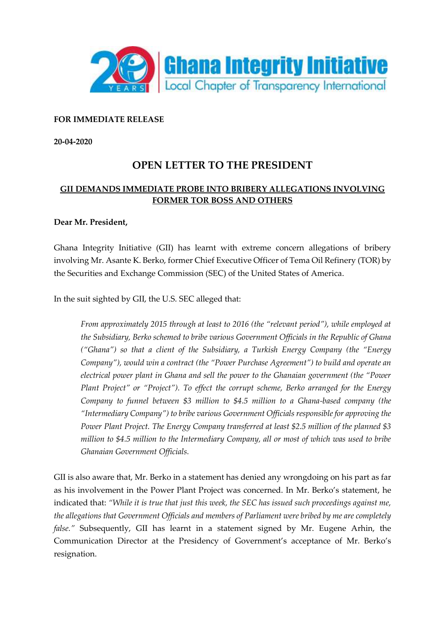

## **FOR IMMEDIATE RELEASE**

**20-04-2020**

## **OPEN LETTER TO THE PRESIDENT**

## **GII DEMANDS IMMEDIATE PROBE INTO BRIBERY ALLEGATIONS INVOLVING FORMER TOR BOSS AND OTHERS**

## **Dear Mr. President,**

Ghana Integrity Initiative (GII) has learnt with extreme concern allegations of bribery involving Mr. Asante K. Berko, former Chief Executive Officer of Tema Oil Refinery (TOR) by the Securities and Exchange Commission (SEC) of the United States of America.

In the suit sighted by GII, the U.S. SEC alleged that:

*From approximately 2015 through at least to 2016 (the "relevant period"), while employed at the Subsidiary, Berko schemed to bribe various Government Officials in the Republic of Ghana ("Ghana") so that a client of the Subsidiary, a Turkish Energy Company (the "Energy Company"), would win a contract (the "Power Purchase Agreement") to build and operate an electrical power plant in Ghana and sell the power to the Ghanaian government (the "Power Plant Project" or "Project"). To effect the corrupt scheme, Berko arranged for the Energy Company to funnel between \$3 million to \$4.5 million to a Ghana-based company (the "Intermediary Company") to bribe various Government Officials responsible for approving the Power Plant Project. The Energy Company transferred at least \$2.5 million of the planned \$3 million to \$4.5 million to the Intermediary Company, all or most of which was used to bribe Ghanaian Government Officials.*

GII is also aware that, Mr. Berko in a statement has denied any wrongdoing on his part as far as his involvement in the Power Plant Project was concerned. In Mr. Berko's statement, he indicated that: *"While it is true that just this week, the SEC has issued such proceedings against me, the allegations that Government Officials and members of Parliament were bribed by me are completely false."* Subsequently, GII has learnt in a statement signed by Mr. Eugene Arhin, the Communication Director at the Presidency of Government's acceptance of Mr. Berko's resignation.